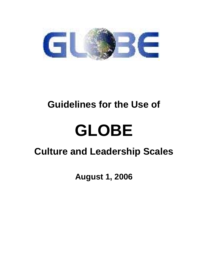

## **Guidelines for the Use of**

# **GLOBE**

## **Culture and Leadership Scales**

**August 1, 2006**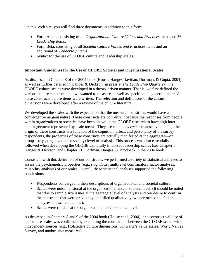On this Web site, you will find three documents in addition to this form:

- Form Alpha, consisting of all *Organizational Culture Values and Practices* items and 56 *Leadership* items.
- Form Beta, consisting of all *Societal Culture Values and Practices* items and an additional 56 *Leadership* items.
- Syntax for the use of GLOBE culture and leadership scales.

### **Important Guidelines for the Use of GLOBE Societal and Organizational Scales**

As discussed in Chapter 8 of the 2004 book (House, Hanges, Javidan, Dorfman, & Gupta, 2004), as well as further detailed in Hanges & Dickson (in press at *The Leadership Quarterly*), the GLOBE culture scales were developed in a theory-driven manner. That is, we first defined the various culture constructs that we wanted to measure, as well as specified the general nature of these constructs before items were written. The selection and definitions of the culture dimensions were developed after a review of the culture literature.

We developed the scales with the expectation that the measured constructs would have a convergent-emergent nature. These constructs are *convergent* because the responses from people within organizations or societies have been shown in the GLOBE research to have high interrater agreement represented by scale means. They are called *emergent* because even though the origin of these constructs is a function of the cognition, affect, and personality of the survey respondents, the properties of these constructs are actually manifested at the aggregate—or group—(e.g., organization or society) level of analysis. This process was also essentially followed when developing the GLOBE Culturally Endorsed leadership scales (see Chapter 8, Hanges & Dickson, and Chapter 21, Dorfman, Hanges, & Brodbeck in the 2004 book).

Consistent with this definition of our constructs, we performed a variety of statistical analyses to assess the psychometric properties (e.g., rwg, ICCs, multilevel confirmatory factor analyses, reliability analysis) of our scales. Overall, these statistical analyses supported the following conclusions:

- Respondents converged in their descriptions of organizational and societal culture.
- Scales were unidimensional at the organizational and/or societal level. (It should be noted that due to sample size issues at the aggregate level of analysis and our desire to confirm the constructs that were previously identified qualitatively, we performed the factor analyses one scale at a time).
- Scales were reliable at the organizational and/or societal level.

As described in Chapters 8 and 9 of the 2004 book (House et al., 2004) , the construct validity of the culture scales was confirmed by examining the correlations between the GLOBE scales with independent sources (e.g., Hofstede's culture dimensions, Schwartz's value scales, World Values Survey, and unobtrusive measures).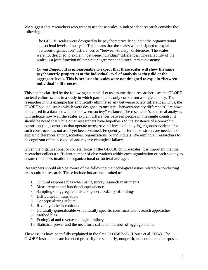We suggest that researchers who want to use these scales in independent research consider the following:

The GLOBE scales were designed to be psychometrically sound at the organizational and societal levels of analysis. This means that the scales were designed to explain "between-organization" differences or "between-society" differences. The scales were not designed to explain "between-individual" differences. The reliability of the scales is a joint function of inter-rater agreement and inter-item consistency.

#### *Caveat Emptor***: It is unreasonable to expect that these scales will show the same psychometric properties at the individual level of analysis as they did at the aggregate levels. This is because the scales were not designed to explain "betweenindividual" differences.**

This can be clarified by the following example. Let us assume that a researcher uses the GLOBE societal culture scales in a study in which participants only come from a single country. The researcher in this example has empirically eliminated any between-society differences. Thus, the GLOBE societal scales which were designed to measure "between-society differences" are now being used in a data set with no "between-society" variance. The researcher's statistical analyses will indicate how well the scales explain differences between people in this single country. It should be noted that while other researchers have hypothesized the existence of isomorphic constructs (i.e., constructs that operate across several levels of analysis), rigorous evidence for such constructs has not as of yet been obtained. Frequently, different constructs are needed to explain differences among societies, organizations, or individuals. We remind all researchers to be cognizant of the ecological and reverse ecological fallacy.

Given the organizational or societal focus of the GLOBE culture scales, it is important that the researcher collect a sufficient number of observations within each organization or each society to ensure reliable estimation of organizational or societal averages.

Researchers should also be aware of the following methodological issues related to conducting cross-cultural research. These include but are not limited to:

- 1. Cultural response bias when using survey research instruments
- 2. Measurement and functional equivalence
- 3. Sampling of aggregate units and generalizability of findings
- 4. Difficulties in translation
- 5. Conceptualizing culture
- 6. Rival hypothesis confound
- 7. Culturally generalizable vs. culturally specific constructs and research approaches
- 8. Method bias
- 9. Ecological and reverse ecological fallacy
- 10. Statistical power and the need for a sufficient number of aggregate units

These issues have been fully explained in the first GLOBE book (House et al, 2004). The GLOBE instruments are intended primarily for scholarly, nonprofit, noncommercial purposes.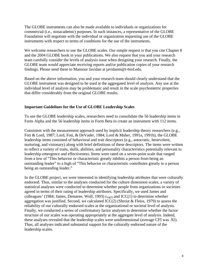The GLOBE instruments can also be made available to individuals or organizations for commercial (i.e., nonacademic) purposes. In such instances, a representative of the GLOBE Foundation will negotiate with the individual or organization requesting use of the GLOBE instruments with respect to terms of conditions for the use of the instruments.

We welcome researchers to use the GLOBE scales. Our simple request is that you cite Chapter 8 and the 2004 GLOBE book in your publications. We also request that you and your research team carefully consider the levels of analysis issue when designing your research. Finally, the GLOBE team would appreciate receiving reports and/or publication copies of your research findings. Please send these to Mansour Javidan at javidanm@t-bird.edu.

Based on the above information, you and your research team should clearly understand that the GLOBE instrument was designed to be used at the aggregated level of analysis. Any use at the individual level of analysis may be problematic and result in the scale psychometric properties that differ considerably from the original GLOBE results.

#### **Important Guidelines for the Use of GLOBE Leadership Scales**

To use the GLOBE leadership scales, researchers need to consolidate the 56 leadership items in Form Alpha and the 56 leadership items in Form Beta to create an instrument with 112 items.

Consistent with the measurement approach used by implicit leadership theory researchers (e.g., Foti & Lord, 1987; Lord, Foti, & DeVader, 1984; Lord & Maher, 1991a, 1991b), the GLOBE leadership items consisted of behavioral and trait descriptors (e.g., autocratic, benevolent, nurturing, and visionary) along with brief definitions of these descriptors. The items were written to reflect a variety of traits, skills, abilities, and personality characteristics potentially relevant to leadership emergence and effectiveness. Items were rated on a seven-point scale that ranged from a low of "This behavior or characteristic greatly inhibits a person from being an outstanding leader" to a high of "This behavior or characteristic contributes greatly to a person being an outstanding leader."

In the GLOBE project, we were interested in identifying leadership attributes that were culturally endorsed. Thus, similar to the analyses conducted for the culture dimension scales, a variety of statistical analyses were conducted to determine whether people from organizations or societies agreed in terms of their rating of leadership attributes. Specifically, we used James and colleagues' (1984; James, Demaree, Wolf, 1993)  $r_{wg(J)}$  and ICC(1) to determine whether aggregation was justified. Second, we calculated  $ICC(2)$  (Shrout & Fleiss, 1979) to assess the reliability of our culturally endorsed scales at the organizational or societal level of analysis. Finally, we conducted a series of confirmatory factor analyses to determine whether the factor structure of our scales was operating appropriately at the aggregate level of analysis. Indeed, these analyses revealed that the leadership scales were unidimensional (average CFI was .92). Thus, all analyses indicated substantial support for the culturally endorsed nature of the leadership scales.